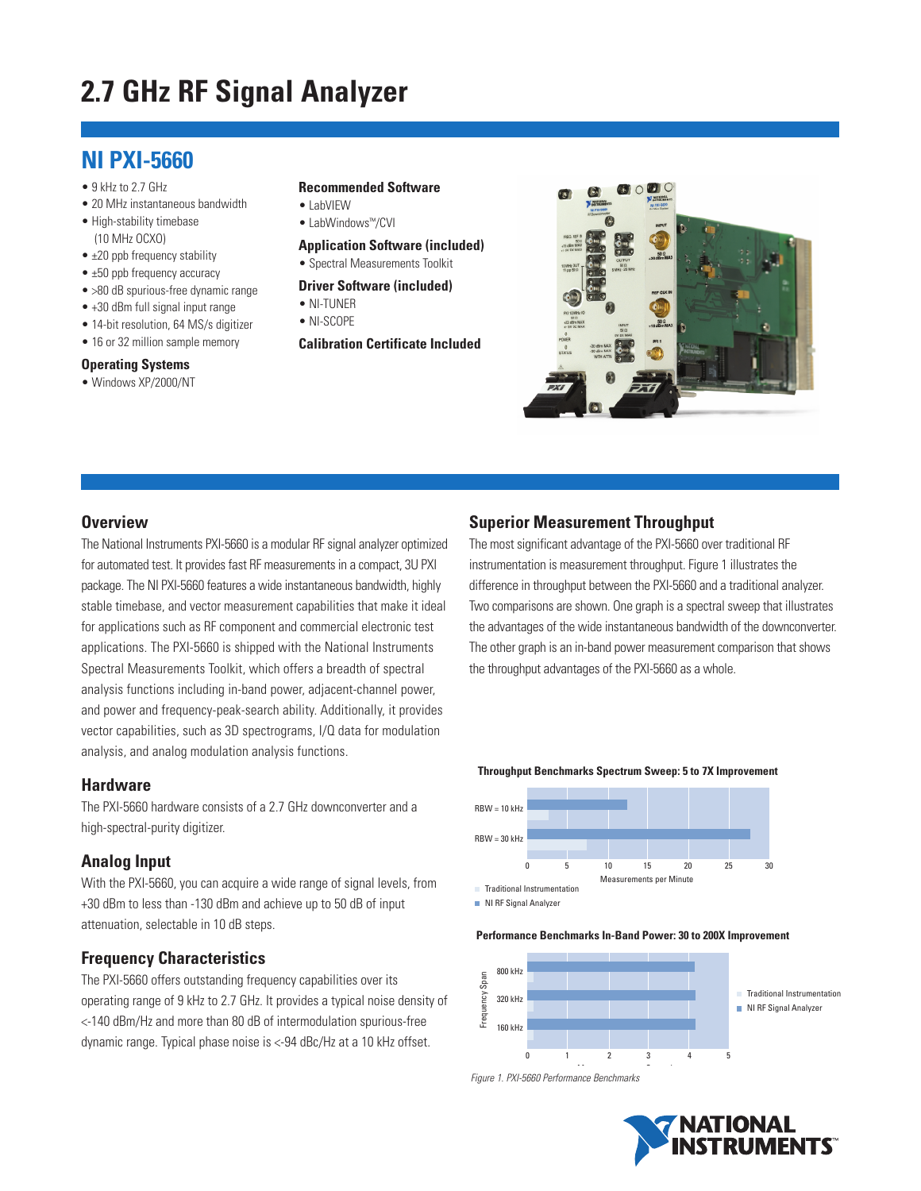# **2.7 GHz RF Signal Analyzer**

# **NI PXI-5660**

- 9 kHz to 2.7 GHz
- 20 MHz instantaneous bandwidth
- High-stability timebase (10 MHz OCXO)
- ±20 ppb frequency stability
- ±50 ppb frequency accuracy
- >80 dB spurious-free dynamic range
- +30 dBm full signal input range
- 14-bit resolution, 64 MS/s digitizer
- 16 or 32 million sample memory

#### **Operating Systems**

• Windows XP/2000/NT

#### **Recommended Software**

- LabVIEW
- LabWindows™/CVI
- **Application Software (included)**
- Spectral Measurements Toolkit
- **Driver Software (included)** • NI-TUNER
- NI-SCOPE
- **Calibration Certificate Included**



#### **Overview**

The National Instruments PXI-5660 is a modular RF signal analyzer optimized for automated test. It provides fast RF measurements in a compact, 3U PXI package. The NI PXI-5660 features a wide instantaneous bandwidth, highly stable timebase, and vector measurement capabilities that make it ideal for applications such as RF component and commercial electronic test applications. The PXI-5660 is shipped with the National Instruments Spectral Measurements Toolkit, which offers a breadth of spectral analysis functions including in-band power, adjacent-channel power, and power and frequency-peak-search ability. Additionally, it provides vector capabilities, such as 3D spectrograms, I/Q data for modulation analysis, and analog modulation analysis functions.

#### **Hardware**

The PXI-5660 hardware consists of a 2.7 GHz downconverter and a high-spectral-purity digitizer.

## **Analog Input**

With the PXI-5660, you can acquire a wide range of signal levels, from +30 dBm to less than -130 dBm and achieve up to 50 dB of input attenuation, selectable in 10 dB steps.

## **Frequency Characteristics**

The PXI-5660 offers outstanding frequency capabilities over its operating range of 9 kHz to 2.7 GHz. It provides a typical noise density of <-140 dBm/Hz and more than 80 dB of intermodulation spurious-free dynamic range. Typical phase noise is <-94 dBc/Hz at a 10 kHz offset.

## **Superior Measurement Throughput**

The most significant advantage of the PXI-5660 over traditional RF instrumentation is measurement throughput. Figure 1 illustrates the difference in throughput between the PXI-5660 and a traditional analyzer. Two comparisons are shown. One graph is a spectral sweep that illustrates the advantages of the wide instantaneous bandwidth of the downconverter. The other graph is an in-band power measurement comparison that shows the throughput advantages of the PXI-5660 as a whole.





NI RF Signal Analyzer

#### **Performance Benchmarks In-Band Power: 30 to 200X Improvement**



M S d *Figure 1. PXI-5660 Performance Benchmarks*

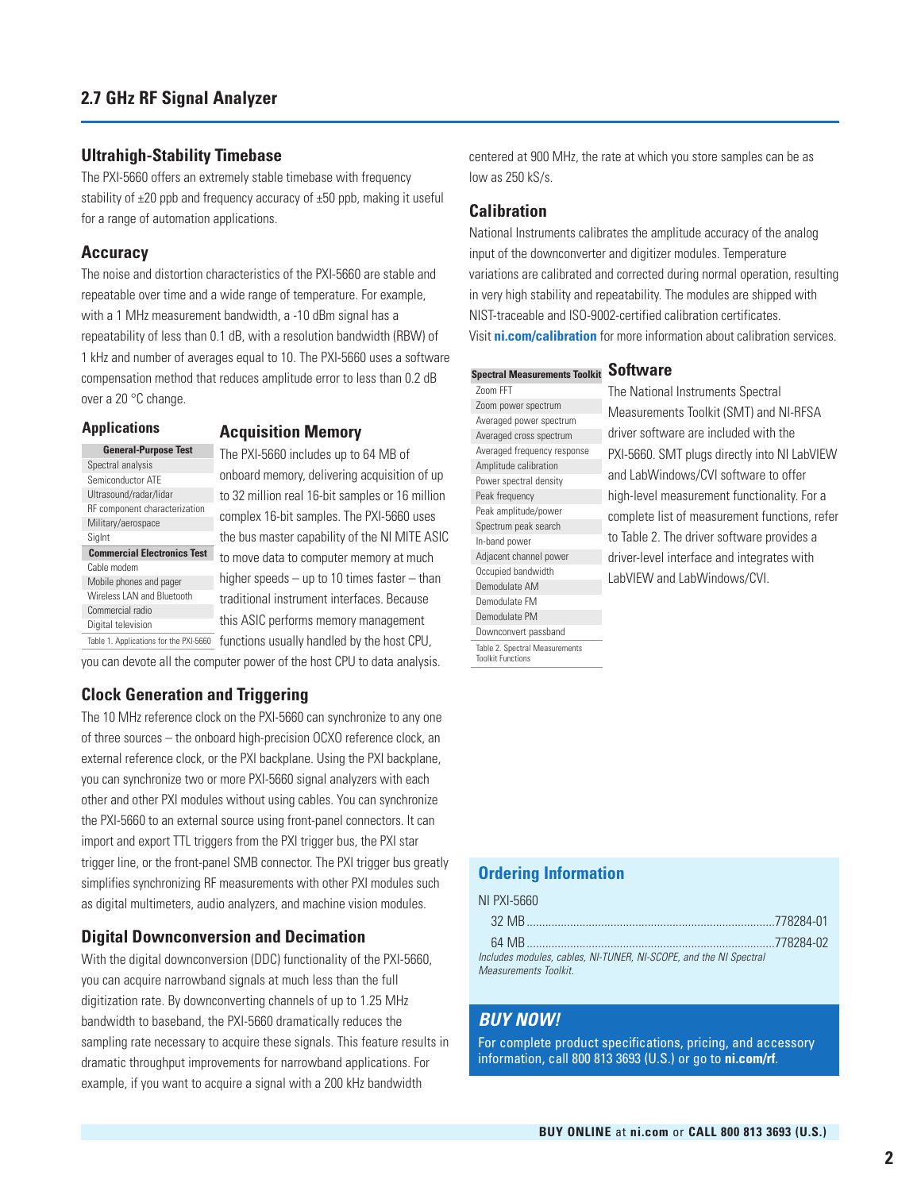#### **Ultrahigh-Stability Timebase**

The PXI-5660 offers an extremely stable timebase with frequency stability of  $\pm 20$  ppb and frequency accuracy of  $\pm 50$  ppb, making it useful for a range of automation applications.

#### **Accuracy**

The noise and distortion characteristics of the PXI-5660 are stable and repeatable over time and a wide range of temperature. For example, with a 1 MHz measurement bandwidth, a -10 dBm signal has a repeatability of less than 0.1 dB, with a resolution bandwidth (RBW) of 1 kHz and number of averages equal to 10. The PXI-5660 uses a software compensation method that reduces amplitude error to less than 0.2 dB over a 20 °C change.

#### **Applications**

#### **Acquisition Memory**

|                         | <b>General-Purpose Test</b>        |  |
|-------------------------|------------------------------------|--|
| Spectral analysis       |                                    |  |
| Semiconductor ATF       |                                    |  |
| Ultrasound/radar/lidar  |                                    |  |
|                         | RF component characterization      |  |
| Military/aerospace      |                                    |  |
| SigInt                  |                                    |  |
|                         |                                    |  |
|                         | <b>Commercial Electronics Test</b> |  |
| Cable modem             |                                    |  |
| Mobile phones and pager |                                    |  |
|                         | Wireless LAN and Bluetooth         |  |
| Commercial radio        |                                    |  |
| Digital television      |                                    |  |

The PXI-5660 includes up to 64 MB of onboard memory, delivering acquisition of up to 32 million real 16-bit samples or 16 million complex 16-bit samples. The PXI-5660 uses the bus master capability of the NI MITE ASIC to move data to computer memory at much higher speeds – up to 10 times faster – than traditional instrument interfaces. Because this ASIC performs memory management Table 1. Applications for the PXI-5660 functions usually handled by the host CPU,

you can devote all the computer power of the host CPU to data analysis.

## **Clock Generation and Triggering**

The 10 MHz reference clock on the PXI-5660 can synchronize to any one of three sources – the onboard high-precision OCXO reference clock, an external reference clock, or the PXI backplane. Using the PXI backplane, you can synchronize two or more PXI-5660 signal analyzers with each other and other PXI modules without using cables. You can synchronize the PXI-5660 to an external source using front-panel connectors. It can import and export TTL triggers from the PXI trigger bus, the PXI star trigger line, or the front-panel SMB connector. The PXI trigger bus greatly simplifies synchronizing RF measurements with other PXI modules such as digital multimeters, audio analyzers, and machine vision modules.

## **Digital Downconversion and Decimation**

With the digital downconversion (DDC) functionality of the PXI-5660, you can acquire narrowband signals at much less than the full digitization rate. By downconverting channels of up to 1.25 MHz bandwidth to baseband, the PXI-5660 dramatically reduces the sampling rate necessary to acquire these signals. This feature results in dramatic throughput improvements for narrowband applications. For example, if you want to acquire a signal with a 200 kHz bandwidth

centered at 900 MHz, the rate at which you store samples can be as low as 250 kS/s.

## **Calibration**

National Instruments calibrates the amplitude accuracy of the analog input of the downconverter and digitizer modules. Temperature variations are calibrated and corrected during normal operation, resulting in very high stability and repeatability. The modules are shipped with NIST-traceable and ISO-9002-certified calibration certificates. Visit **ni.com/calibration** for more information about calibration services.

#### **Software Spectral Measurements Toolkit**

Zoom FFT Zoom power spectrum Averaged power spectrum Averaged cross spectrum Averaged frequency response Amplitude calibration Power spectral density Peak frequency Peak amplitude/power Spectrum peak search In-band power Adjacent channel power Occupied bandwidth Demodulate AM Demodulate FM Demodulate PM Downconvert passband Table 2. Spectral Measurements Toolkit Functions

The National Instruments Spectral Measurements Toolkit (SMT) and NI-RFSA driver software are included with the PXI-5660. SMT plugs directly into NI LabVIEW and LabWindows/CVI software to offer high-level measurement functionality. For a complete list of measurement functions, refer to Table 2. The driver software provides a driver-level interface and integrates with LabVIEW and LabWindows/CVI.

## **Ordering Information**

| NI PXI-5660                                                       |  |
|-------------------------------------------------------------------|--|
|                                                                   |  |
|                                                                   |  |
| Includes modules, cables, NI-TUNER, NI-SCOPE, and the NI Spectral |  |
| Measurements Toolkit.                                             |  |

## *BUY NOW!*

For complete product specifications, pricing, and accessory information, call 800 813 3693 (U.S.) or go to **ni.com/rf**.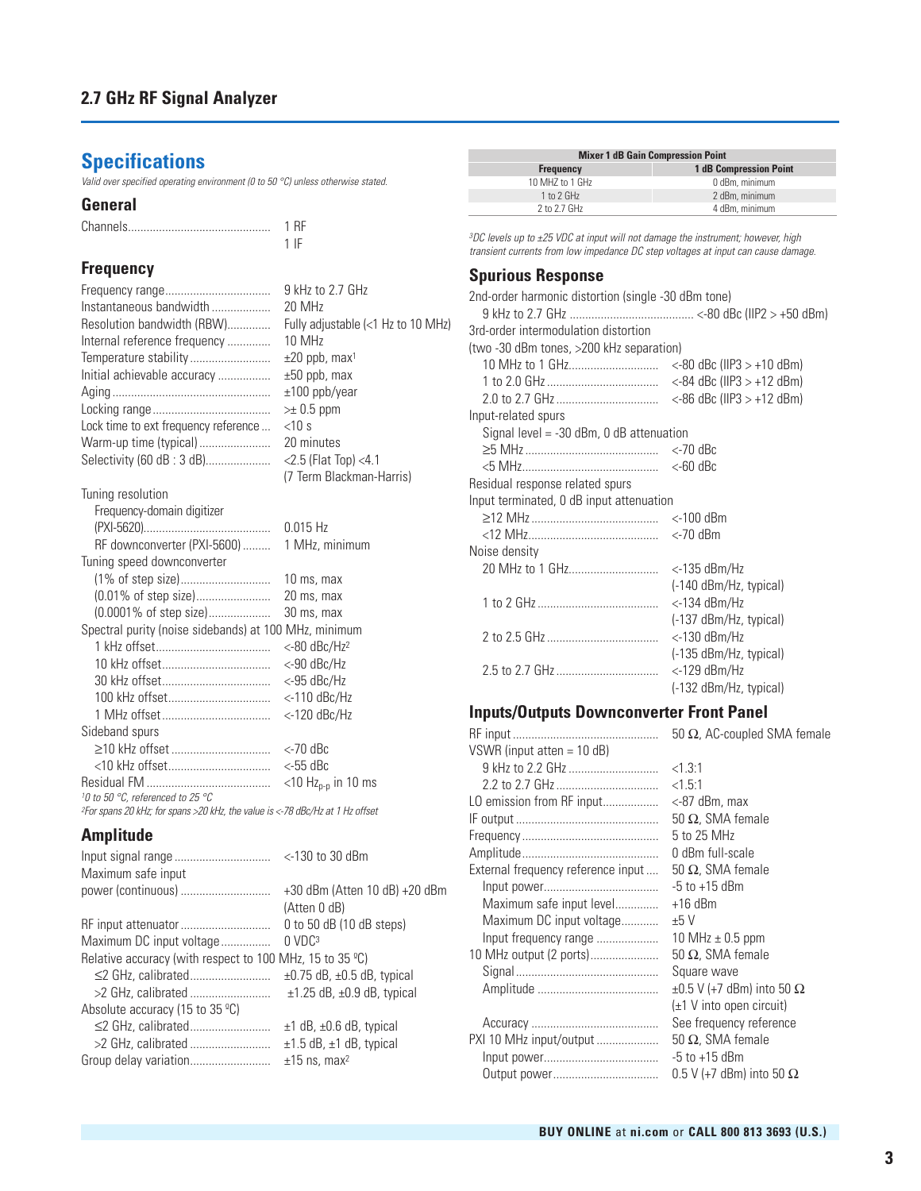# **Specifications**

*Valid over specified operating environment (0 to 50 °C) unless otherwise stated.*

#### **General**

## **Frequency**

|                                                                                           | 9 kHz to 2.7 GHz                   |
|-------------------------------------------------------------------------------------------|------------------------------------|
| Instantaneous bandwidth                                                                   | 20 MHz                             |
| Resolution bandwidth (RBW)                                                                | Fully adjustable (<1 Hz to 10 MHz) |
| Internal reference frequency                                                              | 10 MHz                             |
| Temperature stability                                                                     | $\pm 20$ ppb, max <sup>1</sup>     |
| Initial achievable accuracy                                                               | $\pm 50$ ppb, max                  |
|                                                                                           | $±100$ ppb/year                    |
|                                                                                           | $\geq$ 0.5 ppm                     |
| Lock time to ext frequency reference                                                      | $<$ 10 s                           |
| Warm-up time (typical)                                                                    | 20 minutes                         |
| Selectivity (60 dB: 3 dB)                                                                 | $<$ 2.5 (Flat Top) $<$ 4.1         |
|                                                                                           | (7 Term Blackman-Harris)           |
| Tuning resolution                                                                         |                                    |
| Frequency-domain digitizer                                                                |                                    |
|                                                                                           | $0.015$ Hz                         |
| RF downconverter (PXI-5600)                                                               | 1 MHz, minimum                     |
| Tuning speed downconverter                                                                |                                    |
|                                                                                           | 10 ms, max                         |
| (0.01% of step size)                                                                      | 20 ms, max                         |
|                                                                                           | 30 ms, max                         |
| Spectral purity (noise sidebands) at 100 MHz, minimum                                     |                                    |
|                                                                                           | $<$ -80 dBc/Hz <sup>2</sup>        |
|                                                                                           | $<$ -90 dBc/Hz                     |
|                                                                                           | $<$ -95 dBc/Hz                     |
|                                                                                           | $<$ -110 dBc/Hz                    |
|                                                                                           | $<$ -120 dBc/Hz                    |
| Sideband spurs                                                                            |                                    |
|                                                                                           | <-70 dBc                           |
|                                                                                           | $<$ -55 dBc                        |
|                                                                                           | $<$ 10 Hz <sub>p-p</sub> in 10 ms  |
| 10 to 50 °C, referenced to 25 °C                                                          |                                    |
| <sup>2</sup> For spans 20 kHz; for spans >20 kHz, the value is <-78 dBc/Hz at 1 Hz offset |                                    |

**Amplitude**

| Maximum safe input                                                 |                                      |
|--------------------------------------------------------------------|--------------------------------------|
| power (continuous)                                                 | +30 dBm (Atten 10 dB) +20 dBm        |
|                                                                    | (Atten 0 dB)                         |
|                                                                    | 0 to 50 $dB$ (10 $dB$ steps)         |
| Maximum DC input voltage                                           | $0$ VD $C3$                          |
| Relative accuracy (with respect to 100 MHz, 15 to 35 $^{\circ}$ C) |                                      |
|                                                                    | $\pm$ 0.75 dB, $\pm$ 0.5 dB, typical |
|                                                                    | $\pm$ 1.25 dB, $\pm$ 0.9 dB, typical |
| Absolute accuracy (15 to 35 $^{\circ}$ C)                          |                                      |
|                                                                    | $\pm$ 1 dB, $\pm$ 0.6 dB, typical    |
| >2 GHz, calibrated                                                 | $\pm$ 1.5 dB, $\pm$ 1 dB, typical    |
|                                                                    | $±15$ ns, max <sup>2</sup>           |
|                                                                    |                                      |

| <b>Mixer 1 dB Gain Compression Point</b> |                               |  |
|------------------------------------------|-------------------------------|--|
| <b>Frequency</b>                         | <b>1 dB Compression Point</b> |  |
| 10 MHZ to 1 GHz                          | 0 dBm, minimum                |  |
| 1 to 2 GHz                               | 2 dBm, minimum                |  |
| 2 to 2.7 GHz                             | 4 dBm, minimum                |  |

*3DC levels up to ±25 VDC at input will not damage the instrument; however, high transient currents from low impedance DC step voltages at input can cause damage.*

#### **Spurious Response**

 $\overline{\phantom{0}}$ 

| 2nd-order harmonic distortion (single -30 dBm tone) |                                |
|-----------------------------------------------------|--------------------------------|
| 3rd-order intermodulation distortion                |                                |
| (two -30 dBm tones, >200 kHz separation)            |                                |
| 10 MHz to 1 GHz                                     | $<$ -80 dBc (IIP3 $>$ +10 dBm) |
|                                                     | $<$ -84 dBc (IIP3 $>$ +12 dBm) |
|                                                     | $<$ -86 dBc (IIP3 $>$ +12 dBm) |
| Input-related spurs                                 |                                |
| Signal level $=$ -30 dBm, 0 dB attenuation          |                                |
|                                                     | $<$ -70 dBc                    |
|                                                     | $<$ -60 dBc                    |
| Residual response related spurs                     |                                |
| Input terminated, 0 dB input attenuation            |                                |
|                                                     | <-100 dBm                      |
|                                                     | $<$ -70 dBm                    |
| Noise density                                       |                                |
|                                                     | <-135 dBm/Hz                   |
|                                                     | (-140 dBm/Hz, typical)         |
|                                                     | $<$ -134 dBm/Hz                |
|                                                     | (-137 dBm/Hz, typical)         |
|                                                     | <-130 dBm/Hz                   |
|                                                     | (-135 dBm/Hz, typical)         |
|                                                     | <-129 dBm/Hz                   |
|                                                     | (-132 dBm/Hz, typical)         |

## **Inputs/Outputs Downconverter Front Panel**

|                                    | 50 $\Omega$ , AC-coupled SMA female      |
|------------------------------------|------------------------------------------|
| VSWR (input atten $= 10$ dB)       |                                          |
|                                    | < 1.3:1                                  |
| 2.2 to 2.7 GHz                     | < 1.5:1                                  |
| LO emission from RF input          | <-87 dBm, max                            |
|                                    | 50 $\Omega$ , SMA female                 |
|                                    | 5 to 25 MHz                              |
|                                    | 0 dBm full-scale                         |
| External frequency reference input | 50 $\Omega$ , SMA female                 |
|                                    | $-5$ to $+15$ dBm                        |
| Maximum safe input level           | $+16$ dBm                                |
| Maximum DC input voltage           | ±5V                                      |
| Input frequency range              | 10 MHz $\pm$ 0.5 ppm                     |
| 10 MHz output (2 ports)            | 50 $\Omega$ , SMA female                 |
|                                    | Square wave                              |
|                                    | $\pm 0.5$ V (+7 dBm) into 50 $\Omega$    |
|                                    | $(\pm 1 \vee \text{ into open circuit})$ |
|                                    | See frequency reference                  |
| PXI 10 MHz input/output            | 50 $\Omega$ , SMA female                 |
|                                    | $-5$ to $+15$ dBm                        |
|                                    | $0.5$ V (+7 dBm) into 50 $\Omega$        |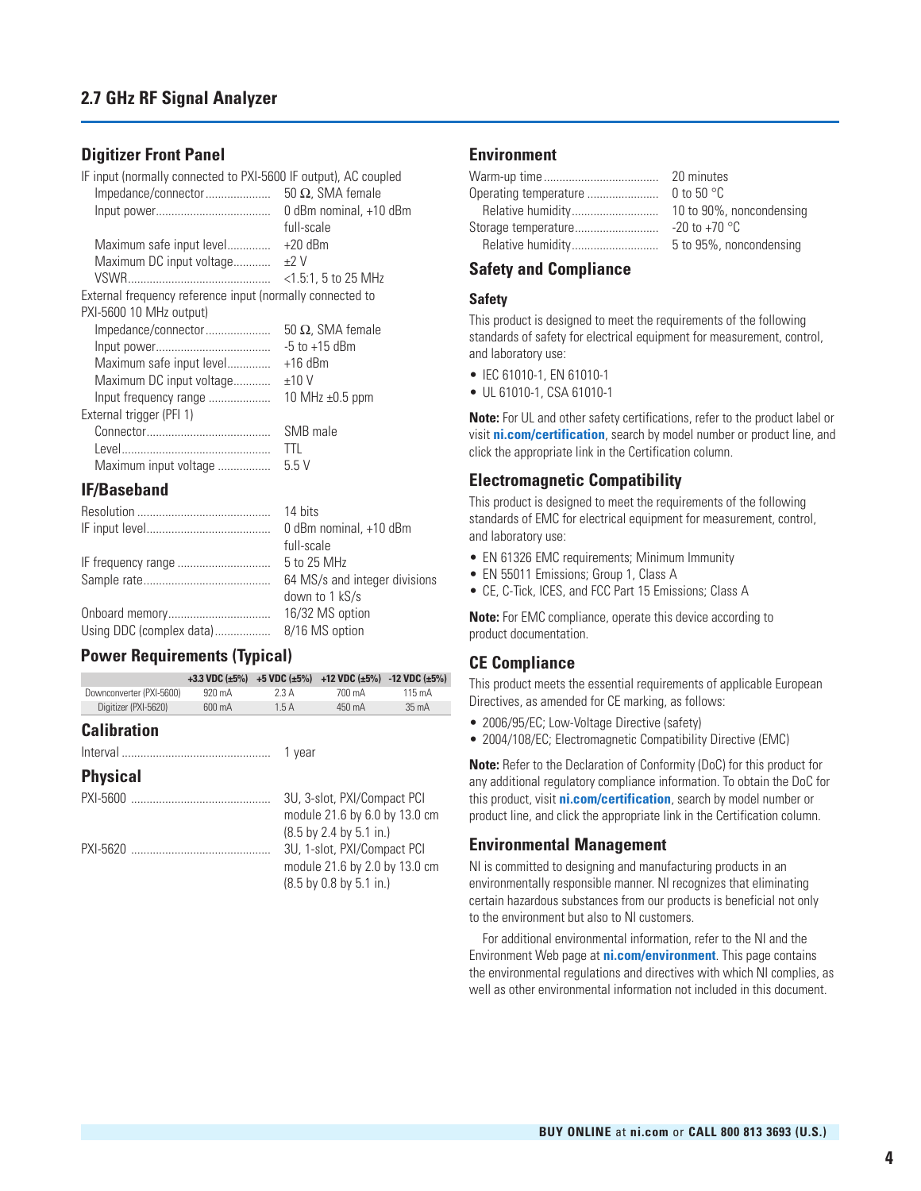#### **Digitizer Front Panel**

IF input (normally connected to PXI-5600 IF output), AC coupled

| Impedance/connector                                       | 50 $\Omega$ , SMA female |
|-----------------------------------------------------------|--------------------------|
|                                                           | 0 dBm nominal, +10 dBm   |
|                                                           | full-scale               |
| Maximum safe input level                                  | $+20$ dBm                |
| Maximum DC input voltage                                  | $+2V$                    |
|                                                           | $<$ 1.5:1. 5 to 25 MHz   |
| External frequency reference input (normally connected to |                          |
| PXI-5600 10 MHz output)                                   |                          |
| Impedance/connector                                       | 50 $\Omega$ , SMA female |
|                                                           | $-5$ to $+15$ dBm        |
| Maximum safe input level                                  | $+16$ dBm                |
| Maximum DC input voltage                                  | ±10V                     |
| Input frequency range                                     | 10 MHz $\pm$ 0.5 ppm     |
| External trigger (PFI 1)                                  |                          |
|                                                           | SMB male                 |
|                                                           | TTI                      |
| Maximum input voltage                                     | 5.5 V                    |

#### **IF/Baseband**

|                                         | 14 bits                       |
|-----------------------------------------|-------------------------------|
|                                         | 0 dBm nominal, +10 dBm        |
|                                         | full-scale                    |
|                                         | 5 to 25 MHz                   |
|                                         | 64 MS/s and integer divisions |
|                                         | down to 1 kS/s                |
|                                         | 16/32 MS option               |
| Using DDC (complex data) 8/16 MS option |                               |

## **Power Requirements (Typical)**

|                          | +3.3 VDC $(\pm 5\%)$ | +5 VDC $(\pm 5\%)$ | +12 VDC $(\pm 5\%)$ -12 VDC $(\pm 5\%)$                                                                             |                 |
|--------------------------|----------------------|--------------------|---------------------------------------------------------------------------------------------------------------------|-----------------|
| Downconverter (PXI-5600) | 920 mA               | 2.3 A              | 700 mA                                                                                                              | 115 mA          |
| Digitizer (PXI-5620)     | 600 mA               | 1.5A               | 450 mA                                                                                                              | $35 \text{ mA}$ |
| <b>Calibration</b>       |                      |                    |                                                                                                                     |                 |
|                          |                      | 1 year             |                                                                                                                     |                 |
| <b>Physical</b>          |                      |                    |                                                                                                                     |                 |
| PXI-5600                 |                      |                    | 3U, 3-slot, PXI/Compact PCI<br>module 21.6 by 6.0 by 13.0 cm<br>$(8.5 \text{ by } 2.4 \text{ by } 5.1 \text{ in.})$ |                 |
|                          |                      |                    | 3U, 1-slot, PXI/Compact PCI<br>module 21.6 by 2.0 by 13.0 cm<br>$(8.5 \text{ by } 0.8 \text{ by } 5.1 \text{ in.})$ |                 |

#### **Environment**

| 20 minutes               |
|--------------------------|
| 0 to 50 $^{\circ}$ C     |
| 10 to 90%, noncondensing |
| $-20$ to $+70$ °C        |
| 5 to 95%, noncondensing  |
|                          |

#### **Safety and Compliance**

#### **Safety**

This product is designed to meet the requirements of the following standards of safety for electrical equipment for measurement, control, and laboratory use:

• IEC 61010-1, EN 61010-1

• UL 61010-1, CSA 61010-1

**Note:** For UL and other safety certifications, refer to the product label or visit **ni.com/certification**, search by model number or product line, and click the appropriate link in the Certification column.

#### **Electromagnetic Compatibility**

This product is designed to meet the requirements of the following standards of EMC for electrical equipment for measurement, control, and laboratory use:

- EN 61326 EMC requirements; Minimum Immunity
- EN 55011 Emissions; Group 1, Class A
- CE, C-Tick, ICES, and FCC Part 15 Emissions; Class A

**Note:** For EMC compliance, operate this device according to product documentation.

#### **CE Compliance**

This product meets the essential requirements of applicable European Directives, as amended for CE marking, as follows:

- 2006/95/EC; Low-Voltage Directive (safety)
- 2004/108/EC; Electromagnetic Compatibility Directive (EMC)

**Note:** Refer to the Declaration of Conformity (DoC) for this product for any additional regulatory compliance information. To obtain the DoC for this product, visit **ni.com/certification**, search by model number or product line, and click the appropriate link in the Certification column.

#### **Environmental Management**

NI is committed to designing and manufacturing products in an environmentally responsible manner. NI recognizes that eliminating certain hazardous substances from our products is beneficial not only to the environment but also to NI customers.

For additional environmental information, refer to the NI and the Environment Web page at **ni.com/environment**. This page contains the environmental regulations and directives with which NI complies, as well as other environmental information not included in this document.